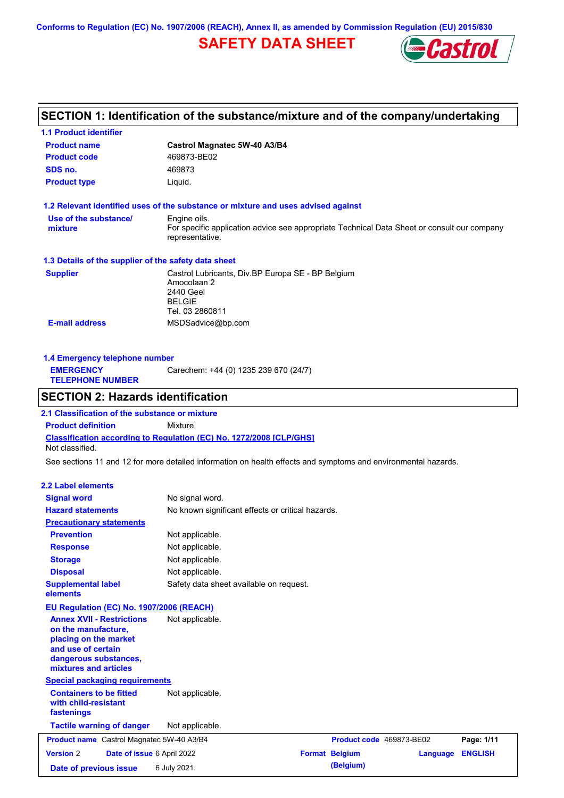**Conforms to Regulation (EC) No. 1907/2006 (REACH), Annex II, as amended by Commission Regulation (EU) 2015/830**

# **SAFETY DATA SHEET**



# **SECTION 1: Identification of the substance/mixture and of the company/undertaking**

| <b>1.1 Product identifier</b>                                                                                                                            |                                                                                                                   |                          |          |                |
|----------------------------------------------------------------------------------------------------------------------------------------------------------|-------------------------------------------------------------------------------------------------------------------|--------------------------|----------|----------------|
| <b>Product name</b>                                                                                                                                      | Castrol Magnatec 5W-40 A3/B4                                                                                      |                          |          |                |
| <b>Product code</b>                                                                                                                                      | 469873-BE02                                                                                                       |                          |          |                |
| SDS no.                                                                                                                                                  | 469873                                                                                                            |                          |          |                |
| <b>Product type</b>                                                                                                                                      | Liquid.                                                                                                           |                          |          |                |
|                                                                                                                                                          | 1.2 Relevant identified uses of the substance or mixture and uses advised against                                 |                          |          |                |
| Use of the substance/                                                                                                                                    | Engine oils.                                                                                                      |                          |          |                |
| mixture                                                                                                                                                  | For specific application advice see appropriate Technical Data Sheet or consult our company<br>representative.    |                          |          |                |
| 1.3 Details of the supplier of the safety data sheet                                                                                                     |                                                                                                                   |                          |          |                |
| <b>Supplier</b>                                                                                                                                          | Castrol Lubricants, Div.BP Europa SE - BP Belgium<br>Amocolaan 2<br>2440 Geel<br><b>BELGIE</b><br>Tel. 03 2860811 |                          |          |                |
| <b>E-mail address</b>                                                                                                                                    | MSDSadvice@bp.com                                                                                                 |                          |          |                |
|                                                                                                                                                          |                                                                                                                   |                          |          |                |
| 1.4 Emergency telephone number<br><b>EMERGENCY</b>                                                                                                       | Carechem: +44 (0) 1235 239 670 (24/7)                                                                             |                          |          |                |
| <b>TELEPHONE NUMBER</b>                                                                                                                                  |                                                                                                                   |                          |          |                |
| <b>SECTION 2: Hazards identification</b>                                                                                                                 |                                                                                                                   |                          |          |                |
| 2.1 Classification of the substance or mixture                                                                                                           |                                                                                                                   |                          |          |                |
| <b>Product definition</b>                                                                                                                                | Mixture                                                                                                           |                          |          |                |
| Not classified.                                                                                                                                          | Classification according to Regulation (EC) No. 1272/2008 [CLP/GHS]                                               |                          |          |                |
|                                                                                                                                                          | See sections 11 and 12 for more detailed information on health effects and symptoms and environmental hazards.    |                          |          |                |
| <b>2.2 Label elements</b>                                                                                                                                |                                                                                                                   |                          |          |                |
| <b>Signal word</b>                                                                                                                                       | No signal word.                                                                                                   |                          |          |                |
| <b>Hazard statements</b>                                                                                                                                 | No known significant effects or critical hazards.                                                                 |                          |          |                |
| <b>Precautionary statements</b>                                                                                                                          |                                                                                                                   |                          |          |                |
| <b>Prevention</b>                                                                                                                                        | Not applicable.                                                                                                   |                          |          |                |
| <b>Response</b>                                                                                                                                          | Not applicable.                                                                                                   |                          |          |                |
| <b>Storage</b>                                                                                                                                           | Not applicable.                                                                                                   |                          |          |                |
| <b>Disposal</b>                                                                                                                                          | Not applicable.                                                                                                   |                          |          |                |
| <b>Supplemental label</b><br>elements                                                                                                                    | Safety data sheet available on request.                                                                           |                          |          |                |
| EU Regulation (EC) No. 1907/2006 (REACH)                                                                                                                 |                                                                                                                   |                          |          |                |
| <b>Annex XVII - Restrictions</b><br>on the manufacture,<br>placing on the market<br>and use of certain<br>dangerous substances,<br>mixtures and articles | Not applicable.                                                                                                   |                          |          |                |
| <b>Special packaging requirements</b>                                                                                                                    |                                                                                                                   |                          |          |                |
| <b>Containers to be fitted</b><br>with child-resistant<br>fastenings                                                                                     | Not applicable.                                                                                                   |                          |          |                |
| <b>Tactile warning of danger</b>                                                                                                                         | Not applicable.                                                                                                   |                          |          |                |
| Product name Castrol Magnatec 5W-40 A3/B4                                                                                                                |                                                                                                                   | Product code 469873-BE02 |          | Page: 1/11     |
| <b>Version 2</b><br>Date of issue 6 April 2022                                                                                                           |                                                                                                                   | <b>Format Belgium</b>    | Language | <b>ENGLISH</b> |
| Date of previous issue                                                                                                                                   | 6 July 2021.                                                                                                      | (Belgium)                |          |                |
|                                                                                                                                                          |                                                                                                                   |                          |          |                |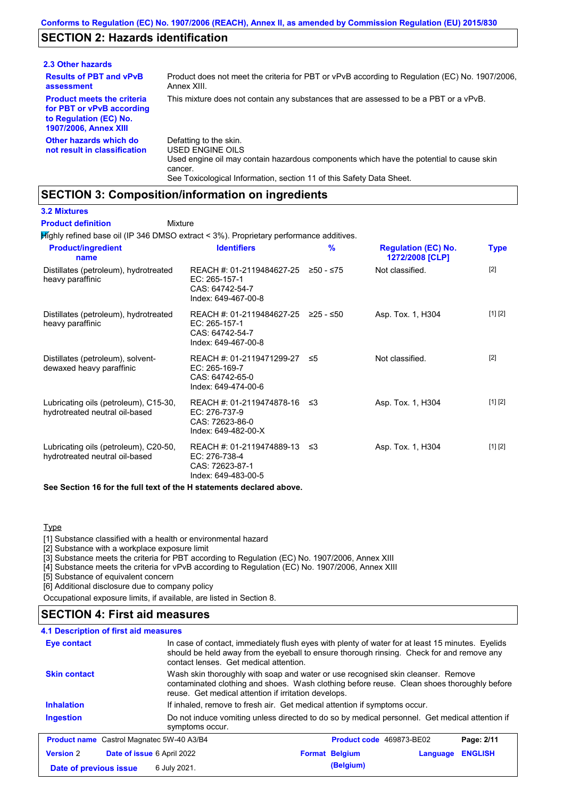## **SECTION 2: Hazards identification**

| 2.3 Other hazards                                                                                                        |                                                                                                                                                                                                                          |
|--------------------------------------------------------------------------------------------------------------------------|--------------------------------------------------------------------------------------------------------------------------------------------------------------------------------------------------------------------------|
| <b>Results of PBT and vPvB</b><br>assessment                                                                             | Product does not meet the criteria for PBT or vPvB according to Regulation (EC) No. 1907/2006,<br>Annex XIII.                                                                                                            |
| <b>Product meets the criteria</b><br>for PBT or vPvB according<br>to Regulation (EC) No.<br><b>1907/2006, Annex XIII</b> | This mixture does not contain any substances that are assessed to be a PBT or a vPvB.                                                                                                                                    |
| Other hazards which do<br>not result in classification                                                                   | Defatting to the skin.<br>USED ENGINE OILS<br>Used engine oil may contain hazardous components which have the potential to cause skin<br>cancer.<br>See Toxicological Information, section 11 of this Safety Data Sheet. |

### **SECTION 3: Composition/information on ingredients**

Mixture

### **3.2 Mixtures**

**Product definition**

Highly refined base oil (IP 346 DMSO extract < 3%). Proprietary performance additives.

| <b>Product/ingredient</b><br>name                                       | <b>Identifiers</b>                                                                   | $\frac{9}{6}$ | <b>Regulation (EC) No.</b><br>1272/2008 [CLP] | <b>Type</b> |
|-------------------------------------------------------------------------|--------------------------------------------------------------------------------------|---------------|-----------------------------------------------|-------------|
| Distillates (petroleum), hydrotreated<br>heavy paraffinic               | REACH #: 01-2119484627-25<br>EC: 265-157-1<br>CAS: 64742-54-7<br>Index: 649-467-00-8 | ≥50 - ≤75     | Not classified.                               | $[2]$       |
| Distillates (petroleum), hydrotreated<br>heavy paraffinic               | REACH #: 01-2119484627-25<br>EC: 265-157-1<br>CAS: 64742-54-7<br>Index: 649-467-00-8 | ≥25 - ≤50     | Asp. Tox. 1, H304                             | [1] [2]     |
| Distillates (petroleum), solvent-<br>dewaxed heavy paraffinic           | REACH #: 01-2119471299-27<br>EC: 265-169-7<br>CAS: 64742-65-0<br>Index: 649-474-00-6 | 55            | Not classified.                               | $[2]$       |
| Lubricating oils (petroleum), C15-30,<br>hydrotreated neutral oil-based | REACH #: 01-2119474878-16<br>EC: 276-737-9<br>CAS: 72623-86-0<br>Index: 649-482-00-X | -≤3           | Asp. Tox. 1, H304                             | [1] [2]     |
| Lubricating oils (petroleum), C20-50,<br>hydrotreated neutral oil-based | REACH #: 01-2119474889-13<br>EC: 276-738-4<br>CAS: 72623-87-1<br>Index: 649-483-00-5 | ו≥ ≤          | Asp. Tox. 1, H304                             | [1] [2]     |

### **See Section 16 for the full text of the H statements declared above.**

**Type** 

[1] Substance classified with a health or environmental hazard

[2] Substance with a workplace exposure limit

[3] Substance meets the criteria for PBT according to Regulation (EC) No. 1907/2006, Annex XIII

[4] Substance meets the criteria for vPvB according to Regulation (EC) No. 1907/2006, Annex XIII

[5] Substance of equivalent concern

[6] Additional disclosure due to company policy

Occupational exposure limits, if available, are listed in Section 8.

### **SECTION 4: First aid measures**

| 4.1 Description of first aid measures            |                                                                                                                                                                                                                                         |                |
|--------------------------------------------------|-----------------------------------------------------------------------------------------------------------------------------------------------------------------------------------------------------------------------------------------|----------------|
| <b>Eye contact</b>                               | In case of contact, immediately flush eyes with plenty of water for at least 15 minutes. Eyelids<br>should be held away from the eyeball to ensure thorough rinsing. Check for and remove any<br>contact lenses. Get medical attention. |                |
| <b>Skin contact</b>                              | Wash skin thoroughly with soap and water or use recognised skin cleanser. Remove<br>contaminated clothing and shoes. Wash clothing before reuse. Clean shoes thoroughly before<br>reuse. Get medical attention if irritation develops.  |                |
| <b>Inhalation</b>                                | If inhaled, remove to fresh air. Get medical attention if symptoms occur.                                                                                                                                                               |                |
| <b>Ingestion</b>                                 | Do not induce vomiting unless directed to do so by medical personnel. Get medical attention if<br>symptoms occur.                                                                                                                       |                |
| <b>Product name</b> Castrol Magnatec 5W-40 A3/B4 | Product code 469873-BE02                                                                                                                                                                                                                | Page: 2/11     |
| <b>Version 2</b><br>Date of issue 6 April 2022   | <b>Format Belgium</b><br>Language                                                                                                                                                                                                       | <b>ENGLISH</b> |
| Date of previous issue                           | (Belgium)<br>6 July 2021.                                                                                                                                                                                                               |                |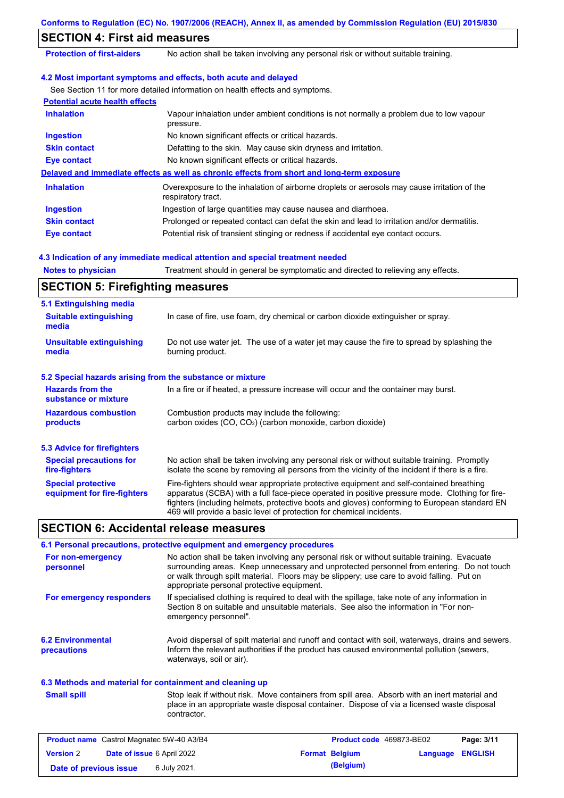|                                                           | Conforms to Regulation (EC) No. 1907/2006 (REACH), Annex II, as amended by Commission Regulation (EU) 2015/830                                                                                                                                                                                                                                                    |
|-----------------------------------------------------------|-------------------------------------------------------------------------------------------------------------------------------------------------------------------------------------------------------------------------------------------------------------------------------------------------------------------------------------------------------------------|
| <b>SECTION 4: First aid measures</b>                      |                                                                                                                                                                                                                                                                                                                                                                   |
| <b>Protection of first-aiders</b>                         | No action shall be taken involving any personal risk or without suitable training.                                                                                                                                                                                                                                                                                |
|                                                           | 4.2 Most important symptoms and effects, both acute and delayed                                                                                                                                                                                                                                                                                                   |
|                                                           | See Section 11 for more detailed information on health effects and symptoms.                                                                                                                                                                                                                                                                                      |
| <b>Potential acute health effects</b>                     |                                                                                                                                                                                                                                                                                                                                                                   |
| <b>Inhalation</b>                                         | Vapour inhalation under ambient conditions is not normally a problem due to low vapour<br>pressure.                                                                                                                                                                                                                                                               |
| <b>Ingestion</b>                                          | No known significant effects or critical hazards.                                                                                                                                                                                                                                                                                                                 |
| <b>Skin contact</b>                                       | Defatting to the skin. May cause skin dryness and irritation.                                                                                                                                                                                                                                                                                                     |
| <b>Eye contact</b>                                        | No known significant effects or critical hazards.                                                                                                                                                                                                                                                                                                                 |
|                                                           | Delayed and immediate effects as well as chronic effects from short and long-term exposure                                                                                                                                                                                                                                                                        |
| <b>Inhalation</b>                                         | Overexposure to the inhalation of airborne droplets or aerosols may cause irritation of the<br>respiratory tract.                                                                                                                                                                                                                                                 |
| <b>Ingestion</b>                                          | Ingestion of large quantities may cause nausea and diarrhoea.                                                                                                                                                                                                                                                                                                     |
| <b>Skin contact</b>                                       | Prolonged or repeated contact can defat the skin and lead to irritation and/or dermatitis.                                                                                                                                                                                                                                                                        |
| <b>Eye contact</b>                                        | Potential risk of transient stinging or redness if accidental eye contact occurs.                                                                                                                                                                                                                                                                                 |
|                                                           | 4.3 Indication of any immediate medical attention and special treatment needed                                                                                                                                                                                                                                                                                    |
| <b>Notes to physician</b>                                 | Treatment should in general be symptomatic and directed to relieving any effects.                                                                                                                                                                                                                                                                                 |
| <b>SECTION 5: Firefighting measures</b>                   |                                                                                                                                                                                                                                                                                                                                                                   |
| 5.1 Extinguishing media                                   |                                                                                                                                                                                                                                                                                                                                                                   |
| <b>Suitable extinguishing</b><br>media                    | In case of fire, use foam, dry chemical or carbon dioxide extinguisher or spray.                                                                                                                                                                                                                                                                                  |
| <b>Unsuitable extinguishing</b><br>media                  | Do not use water jet. The use of a water jet may cause the fire to spread by splashing the<br>burning product.                                                                                                                                                                                                                                                    |
| 5.2 Special hazards arising from the substance or mixture |                                                                                                                                                                                                                                                                                                                                                                   |
| <b>Hazards from the</b>                                   | In a fire or if heated, a pressure increase will occur and the container may burst.                                                                                                                                                                                                                                                                               |
| substance or mixture                                      |                                                                                                                                                                                                                                                                                                                                                                   |
| <b>Hazardous combustion</b><br>products                   | Combustion products may include the following:<br>carbon oxides (CO, CO <sub>2</sub> ) (carbon monoxide, carbon dioxide)                                                                                                                                                                                                                                          |
| <b>5.3 Advice for firefighters</b>                        |                                                                                                                                                                                                                                                                                                                                                                   |
| <b>Special precautions for</b><br>fire-fighters           | No action shall be taken involving any personal risk or without suitable training. Promptly<br>isolate the scene by removing all persons from the vicinity of the incident if there is a fire.                                                                                                                                                                    |
| <b>Special protective</b><br>equipment for fire-fighters  | Fire-fighters should wear appropriate protective equipment and self-contained breathing<br>apparatus (SCBA) with a full face-piece operated in positive pressure mode. Clothing for fire-<br>fighters (including helmets, protective boots and gloves) conforming to European standard EN<br>469 will provide a basic level of protection for chemical incidents. |
| <b>SECTION 6: Accidental release measures</b>             |                                                                                                                                                                                                                                                                                                                                                                   |
|                                                           | 6.1 Personal precautions, protective equipment and emergency procedures                                                                                                                                                                                                                                                                                           |
| For non-emergency<br>personnel                            | No action shall be taken involving any personal risk or without suitable training. Evacuate<br>surrounding areas. Keep unnecessary and unprotected personnel from entering. Do not touch<br>or walk through spilt material. Floors may be slippery; use care to avoid falling. Put on<br>appropriate personal protective equipment.                               |
| For emergency responders                                  | If specialised clothing is required to deal with the spillage, take note of any information in<br>Section 8 on suitable and unsuitable materials. See also the information in "For non-<br>emergency personnel".                                                                                                                                                  |
| <b>6.2 Environmental</b><br>precautions                   | Avoid dispersal of spilt material and runoff and contact with soil, waterways, drains and sewers.<br>Inform the relevant authorities if the product has caused environmental pollution (sewers,<br>waterways, soil or air).                                                                                                                                       |
| 6.3 Methods and material for containment and cleaning up  |                                                                                                                                                                                                                                                                                                                                                                   |
| <b>Small spill</b>                                        | Stop leak if without risk. Move containers from spill area. Absorb with an inert material and<br>place in an appropriate waste disposal container. Dispose of via a licensed waste disposal<br>contractor.                                                                                                                                                        |
| Product name Castrol Magnatec 5W-40 A3/B4                 | Product code 469873-BE02<br>Page: 3/11                                                                                                                                                                                                                                                                                                                            |
|                                                           |                                                                                                                                                                                                                                                                                                                                                                   |

**Date of issue** 6 April 2022 **Format Belgium Language ENGLISH**

**Date of previous issue** 6 July 2021. **Consumer Service 2018** (Belgium)

**Version** 2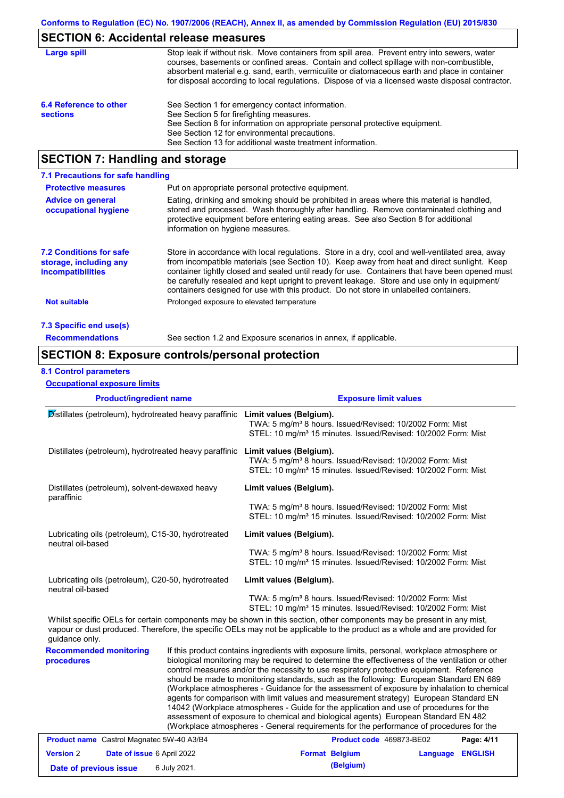# **SECTION 6: Accidental release measures**

| Large spill                               | Stop leak if without risk. Move containers from spill area. Prevent entry into sewers, water<br>courses, basements or confined areas. Contain and collect spillage with non-combustible,<br>absorbent material e.g. sand, earth, vermiculite or diatomaceous earth and place in container<br>for disposal according to local regulations. Dispose of via a licensed waste disposal contractor. |
|-------------------------------------------|------------------------------------------------------------------------------------------------------------------------------------------------------------------------------------------------------------------------------------------------------------------------------------------------------------------------------------------------------------------------------------------------|
| 6.4 Reference to other<br><b>sections</b> | See Section 1 for emergency contact information.<br>See Section 5 for firefighting measures.<br>See Section 8 for information on appropriate personal protective equipment.<br>See Section 12 for environmental precautions.<br>See Section 13 for additional waste treatment information.                                                                                                     |

# **SECTION 7: Handling and storage**

| 7.1 Precautions for safe handling                                                    |                                                                                                                                                                                                                                                                                                                                                                                                                                                                                          |
|--------------------------------------------------------------------------------------|------------------------------------------------------------------------------------------------------------------------------------------------------------------------------------------------------------------------------------------------------------------------------------------------------------------------------------------------------------------------------------------------------------------------------------------------------------------------------------------|
| <b>Protective measures</b>                                                           | Put on appropriate personal protective equipment.                                                                                                                                                                                                                                                                                                                                                                                                                                        |
| <b>Advice on general</b><br>occupational hygiene                                     | Eating, drinking and smoking should be prohibited in areas where this material is handled,<br>stored and processed. Wash thoroughly after handling. Remove contaminated clothing and<br>protective equipment before entering eating areas. See also Section 8 for additional<br>information on hygiene measures.                                                                                                                                                                         |
| <b>7.2 Conditions for safe</b><br>storage, including any<br><i>incompatibilities</i> | Store in accordance with local requlations. Store in a dry, cool and well-ventilated area, away<br>from incompatible materials (see Section 10). Keep away from heat and direct sunlight. Keep<br>container tightly closed and sealed until ready for use. Containers that have been opened must<br>be carefully resealed and kept upright to prevent leakage. Store and use only in equipment/<br>containers designed for use with this product. Do not store in unlabelled containers. |
| Not suitable                                                                         | Prolonged exposure to elevated temperature                                                                                                                                                                                                                                                                                                                                                                                                                                               |
| 7.3 Specific end use(s)                                                              |                                                                                                                                                                                                                                                                                                                                                                                                                                                                                          |
| <b>Recommendations</b>                                                               | See section 1.2 and Exposure scenarios in annex, if applicable.                                                                                                                                                                                                                                                                                                                                                                                                                          |

### **SECTION 8: Exposure controls/personal protection**

### **8.1 Control parameters**

**Occupational exposure limits**

| <b>Product/ingredient name</b>                                                 |              | <b>Exposure limit values</b>                                                                                                                                                                                                                                                                                                                                                                                                                                                                                                                                                                                                                                                                                                                                                                                                                               |  |  |  |  |
|--------------------------------------------------------------------------------|--------------|------------------------------------------------------------------------------------------------------------------------------------------------------------------------------------------------------------------------------------------------------------------------------------------------------------------------------------------------------------------------------------------------------------------------------------------------------------------------------------------------------------------------------------------------------------------------------------------------------------------------------------------------------------------------------------------------------------------------------------------------------------------------------------------------------------------------------------------------------------|--|--|--|--|
| Distillates (petroleum), hydrotreated heavy paraffinic Limit values (Belgium). |              | TWA: 5 mg/m <sup>3</sup> 8 hours. Issued/Revised: 10/2002 Form: Mist<br>STEL: 10 mg/m <sup>3</sup> 15 minutes. Issued/Revised: 10/2002 Form: Mist                                                                                                                                                                                                                                                                                                                                                                                                                                                                                                                                                                                                                                                                                                          |  |  |  |  |
| Distillates (petroleum), hydrotreated heavy paraffinic                         |              | Limit values (Belgium).<br>TWA: 5 mg/m <sup>3</sup> 8 hours. Issued/Revised: 10/2002 Form: Mist<br>STEL: 10 mg/m <sup>3</sup> 15 minutes. Issued/Revised: 10/2002 Form: Mist                                                                                                                                                                                                                                                                                                                                                                                                                                                                                                                                                                                                                                                                               |  |  |  |  |
| Distillates (petroleum), solvent-dewaxed heavy                                 |              | Limit values (Belgium).                                                                                                                                                                                                                                                                                                                                                                                                                                                                                                                                                                                                                                                                                                                                                                                                                                    |  |  |  |  |
| paraffinic                                                                     |              | TWA: 5 mg/m <sup>3</sup> 8 hours. Issued/Revised: 10/2002 Form: Mist<br>STEL: 10 mg/m <sup>3</sup> 15 minutes. Issued/Revised: 10/2002 Form: Mist                                                                                                                                                                                                                                                                                                                                                                                                                                                                                                                                                                                                                                                                                                          |  |  |  |  |
| Lubricating oils (petroleum), C15-30, hydrotreated<br>neutral oil-based        |              | Limit values (Belgium).                                                                                                                                                                                                                                                                                                                                                                                                                                                                                                                                                                                                                                                                                                                                                                                                                                    |  |  |  |  |
|                                                                                |              | TWA: 5 mg/m <sup>3</sup> 8 hours. Issued/Revised: 10/2002 Form: Mist<br>STEL: 10 mg/m <sup>3</sup> 15 minutes. Issued/Revised: 10/2002 Form: Mist                                                                                                                                                                                                                                                                                                                                                                                                                                                                                                                                                                                                                                                                                                          |  |  |  |  |
| Lubricating oils (petroleum), C20-50, hydrotreated<br>neutral oil-based        |              | Limit values (Belgium).                                                                                                                                                                                                                                                                                                                                                                                                                                                                                                                                                                                                                                                                                                                                                                                                                                    |  |  |  |  |
|                                                                                |              | TWA: 5 mg/m <sup>3</sup> 8 hours. Issued/Revised: 10/2002 Form: Mist<br>STEL: 10 mg/m <sup>3</sup> 15 minutes. Issued/Revised: 10/2002 Form: Mist                                                                                                                                                                                                                                                                                                                                                                                                                                                                                                                                                                                                                                                                                                          |  |  |  |  |
| guidance only.                                                                 |              | Whilst specific OELs for certain components may be shown in this section, other components may be present in any mist,<br>vapour or dust produced. Therefore, the specific OELs may not be applicable to the product as a whole and are provided for                                                                                                                                                                                                                                                                                                                                                                                                                                                                                                                                                                                                       |  |  |  |  |
| <b>Recommended monitoring</b><br>procedures                                    |              | If this product contains ingredients with exposure limits, personal, workplace atmosphere or<br>biological monitoring may be required to determine the effectiveness of the ventilation or other<br>control measures and/or the necessity to use respiratory protective equipment. Reference<br>should be made to monitoring standards, such as the following: European Standard EN 689<br>(Workplace atmospheres - Guidance for the assessment of exposure by inhalation to chemical<br>agents for comparison with limit values and measurement strategy) European Standard EN<br>14042 (Workplace atmospheres - Guide for the application and use of procedures for the<br>assessment of exposure to chemical and biological agents) European Standard EN 482<br>(Workplace atmospheres - General requirements for the performance of procedures for the |  |  |  |  |
| <b>Product name</b> Castrol Magnatec 5W-40 A3/B4                               |              | Product code 469873-BE02<br>Page: 4/11                                                                                                                                                                                                                                                                                                                                                                                                                                                                                                                                                                                                                                                                                                                                                                                                                     |  |  |  |  |
| <b>Version 2</b><br>Date of issue 6 April 2022                                 |              | <b>ENGLISH</b><br><b>Format Belgium</b><br><b>Language</b>                                                                                                                                                                                                                                                                                                                                                                                                                                                                                                                                                                                                                                                                                                                                                                                                 |  |  |  |  |
| Date of previous issue                                                         | 6 July 2021. | (Belgium)                                                                                                                                                                                                                                                                                                                                                                                                                                                                                                                                                                                                                                                                                                                                                                                                                                                  |  |  |  |  |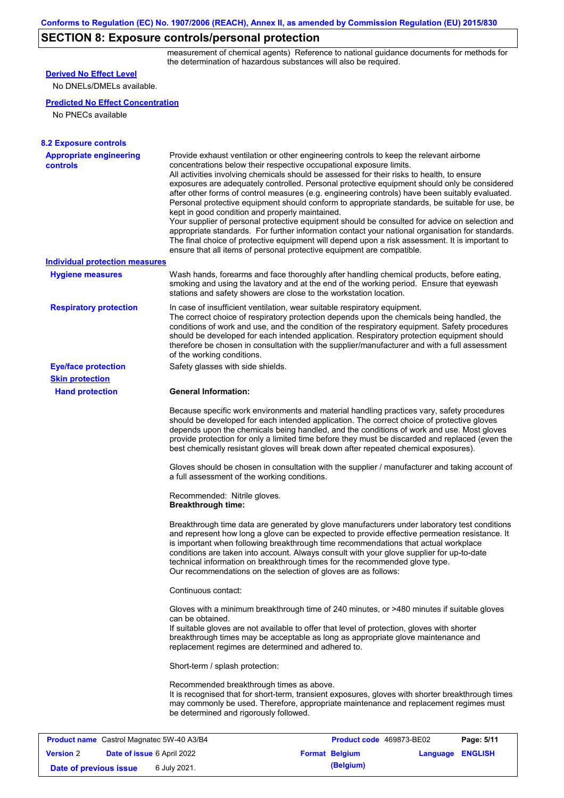# **SECTION 8: Exposure controls/personal protection**

measurement of chemical agents) Reference to national guidance documents for methods for the determination of hazardous substances will also be required.

| <b>Derived No Effect Level</b>                                                                     |                                                                                                                                                                                                                                                                                                                                                                                                                                                                                                                                                                                                                                                                                                                                                                                                                                                                                                                                                                                                         |                                                   |                         |            |
|----------------------------------------------------------------------------------------------------|---------------------------------------------------------------------------------------------------------------------------------------------------------------------------------------------------------------------------------------------------------------------------------------------------------------------------------------------------------------------------------------------------------------------------------------------------------------------------------------------------------------------------------------------------------------------------------------------------------------------------------------------------------------------------------------------------------------------------------------------------------------------------------------------------------------------------------------------------------------------------------------------------------------------------------------------------------------------------------------------------------|---------------------------------------------------|-------------------------|------------|
| No DNELs/DMELs available.                                                                          |                                                                                                                                                                                                                                                                                                                                                                                                                                                                                                                                                                                                                                                                                                                                                                                                                                                                                                                                                                                                         |                                                   |                         |            |
| <b>Predicted No Effect Concentration</b>                                                           |                                                                                                                                                                                                                                                                                                                                                                                                                                                                                                                                                                                                                                                                                                                                                                                                                                                                                                                                                                                                         |                                                   |                         |            |
| No PNECs available                                                                                 |                                                                                                                                                                                                                                                                                                                                                                                                                                                                                                                                                                                                                                                                                                                                                                                                                                                                                                                                                                                                         |                                                   |                         |            |
|                                                                                                    |                                                                                                                                                                                                                                                                                                                                                                                                                                                                                                                                                                                                                                                                                                                                                                                                                                                                                                                                                                                                         |                                                   |                         |            |
| <b>8.2 Exposure controls</b>                                                                       |                                                                                                                                                                                                                                                                                                                                                                                                                                                                                                                                                                                                                                                                                                                                                                                                                                                                                                                                                                                                         |                                                   |                         |            |
| <b>Appropriate engineering</b><br><b>controls</b>                                                  | Provide exhaust ventilation or other engineering controls to keep the relevant airborne<br>concentrations below their respective occupational exposure limits.<br>All activities involving chemicals should be assessed for their risks to health, to ensure<br>exposures are adequately controlled. Personal protective equipment should only be considered<br>after other forms of control measures (e.g. engineering controls) have been suitably evaluated.<br>Personal protective equipment should conform to appropriate standards, be suitable for use, be<br>kept in good condition and properly maintained.<br>Your supplier of personal protective equipment should be consulted for advice on selection and<br>appropriate standards. For further information contact your national organisation for standards.<br>The final choice of protective equipment will depend upon a risk assessment. It is important to<br>ensure that all items of personal protective equipment are compatible. |                                                   |                         |            |
| <b>Individual protection measures</b>                                                              |                                                                                                                                                                                                                                                                                                                                                                                                                                                                                                                                                                                                                                                                                                                                                                                                                                                                                                                                                                                                         |                                                   |                         |            |
| <b>Hygiene measures</b>                                                                            | Wash hands, forearms and face thoroughly after handling chemical products, before eating,<br>smoking and using the lavatory and at the end of the working period. Ensure that eyewash<br>stations and safety showers are close to the workstation location.                                                                                                                                                                                                                                                                                                                                                                                                                                                                                                                                                                                                                                                                                                                                             |                                                   |                         |            |
| <b>Respiratory protection</b>                                                                      | In case of insufficient ventilation, wear suitable respiratory equipment.<br>The correct choice of respiratory protection depends upon the chemicals being handled, the<br>conditions of work and use, and the condition of the respiratory equipment. Safety procedures<br>should be developed for each intended application. Respiratory protection equipment should<br>therefore be chosen in consultation with the supplier/manufacturer and with a full assessment<br>of the working conditions.                                                                                                                                                                                                                                                                                                                                                                                                                                                                                                   |                                                   |                         |            |
| <b>Eye/face protection</b>                                                                         | Safety glasses with side shields.                                                                                                                                                                                                                                                                                                                                                                                                                                                                                                                                                                                                                                                                                                                                                                                                                                                                                                                                                                       |                                                   |                         |            |
| <b>Skin protection</b>                                                                             |                                                                                                                                                                                                                                                                                                                                                                                                                                                                                                                                                                                                                                                                                                                                                                                                                                                                                                                                                                                                         |                                                   |                         |            |
| <b>Hand protection</b>                                                                             | <b>General Information:</b>                                                                                                                                                                                                                                                                                                                                                                                                                                                                                                                                                                                                                                                                                                                                                                                                                                                                                                                                                                             |                                                   |                         |            |
|                                                                                                    | Because specific work environments and material handling practices vary, safety procedures<br>should be developed for each intended application. The correct choice of protective gloves<br>depends upon the chemicals being handled, and the conditions of work and use. Most gloves<br>provide protection for only a limited time before they must be discarded and replaced (even the<br>best chemically resistant gloves will break down after repeated chemical exposures).                                                                                                                                                                                                                                                                                                                                                                                                                                                                                                                        |                                                   |                         |            |
|                                                                                                    | Gloves should be chosen in consultation with the supplier / manufacturer and taking account of<br>a full assessment of the working conditions.                                                                                                                                                                                                                                                                                                                                                                                                                                                                                                                                                                                                                                                                                                                                                                                                                                                          |                                                   |                         |            |
|                                                                                                    | Recommended: Nitrile gloves.<br><b>Breakthrough time:</b>                                                                                                                                                                                                                                                                                                                                                                                                                                                                                                                                                                                                                                                                                                                                                                                                                                                                                                                                               |                                                   |                         |            |
|                                                                                                    | Breakthrough time data are generated by glove manufacturers under laboratory test conditions<br>and represent how long a glove can be expected to provide effective permeation resistance. It<br>is important when following breakthrough time recommendations that actual workplace<br>conditions are taken into account. Always consult with your glove supplier for up-to-date<br>technical information on breakthrough times for the recommended glove type.<br>Our recommendations on the selection of gloves are as follows:                                                                                                                                                                                                                                                                                                                                                                                                                                                                      |                                                   |                         |            |
|                                                                                                    | Continuous contact:                                                                                                                                                                                                                                                                                                                                                                                                                                                                                                                                                                                                                                                                                                                                                                                                                                                                                                                                                                                     |                                                   |                         |            |
|                                                                                                    | Gloves with a minimum breakthrough time of 240 minutes, or >480 minutes if suitable gloves<br>can be obtained.<br>If suitable gloves are not available to offer that level of protection, gloves with shorter<br>breakthrough times may be acceptable as long as appropriate glove maintenance and<br>replacement regimes are determined and adhered to.                                                                                                                                                                                                                                                                                                                                                                                                                                                                                                                                                                                                                                                |                                                   |                         |            |
|                                                                                                    | Short-term / splash protection:                                                                                                                                                                                                                                                                                                                                                                                                                                                                                                                                                                                                                                                                                                                                                                                                                                                                                                                                                                         |                                                   |                         |            |
|                                                                                                    | Recommended breakthrough times as above.<br>It is recognised that for short-term, transient exposures, gloves with shorter breakthrough times<br>may commonly be used. Therefore, appropriate maintenance and replacement regimes must<br>be determined and rigorously followed.                                                                                                                                                                                                                                                                                                                                                                                                                                                                                                                                                                                                                                                                                                                        |                                                   |                         |            |
|                                                                                                    |                                                                                                                                                                                                                                                                                                                                                                                                                                                                                                                                                                                                                                                                                                                                                                                                                                                                                                                                                                                                         |                                                   |                         |            |
| <b>Product name</b> Castrol Magnatec 5W-40 A3/B4<br><b>Version 2</b><br>Date of issue 6 April 2022 |                                                                                                                                                                                                                                                                                                                                                                                                                                                                                                                                                                                                                                                                                                                                                                                                                                                                                                                                                                                                         | Product code 469873-BE02<br><b>Format Belgium</b> | <b>Language ENGLISH</b> | Page: 5/11 |
|                                                                                                    |                                                                                                                                                                                                                                                                                                                                                                                                                                                                                                                                                                                                                                                                                                                                                                                                                                                                                                                                                                                                         |                                                   |                         |            |

**Date of previous issue** 6 July 2021.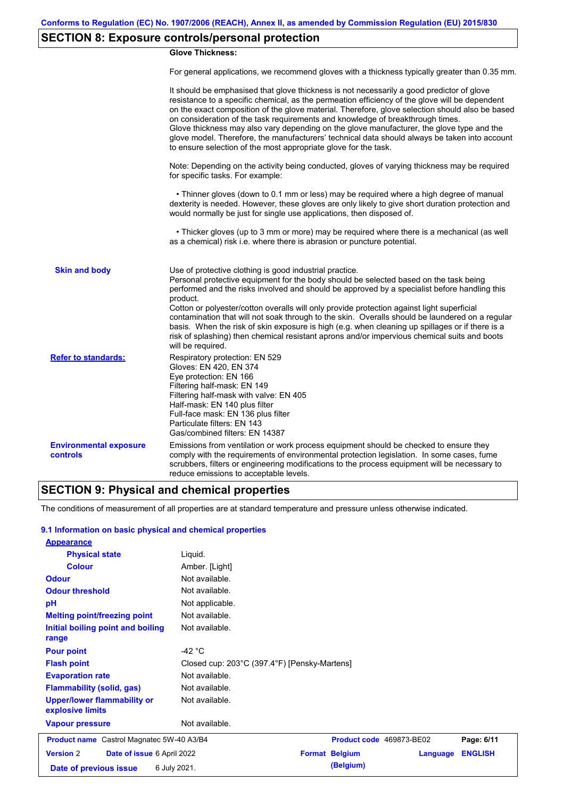# **SECTION 8: Exposure controls/personal protection**

### **Glove Thickness:**

For general applications, we recommend gloves with a thickness typically greater than 0.35 mm.

|                                                  | It should be emphasised that glove thickness is not necessarily a good predictor of glove<br>resistance to a specific chemical, as the permeation efficiency of the glove will be dependent<br>on the exact composition of the glove material. Therefore, glove selection should also be based<br>on consideration of the task requirements and knowledge of breakthrough times.<br>Glove thickness may also vary depending on the glove manufacturer, the glove type and the<br>glove model. Therefore, the manufacturers' technical data should always be taken into account<br>to ensure selection of the most appropriate glove for the task.                                     |
|--------------------------------------------------|---------------------------------------------------------------------------------------------------------------------------------------------------------------------------------------------------------------------------------------------------------------------------------------------------------------------------------------------------------------------------------------------------------------------------------------------------------------------------------------------------------------------------------------------------------------------------------------------------------------------------------------------------------------------------------------|
|                                                  | Note: Depending on the activity being conducted, gloves of varying thickness may be required<br>for specific tasks. For example:                                                                                                                                                                                                                                                                                                                                                                                                                                                                                                                                                      |
|                                                  | • Thinner gloves (down to 0.1 mm or less) may be required where a high degree of manual<br>dexterity is needed. However, these gloves are only likely to give short duration protection and<br>would normally be just for single use applications, then disposed of.                                                                                                                                                                                                                                                                                                                                                                                                                  |
|                                                  | • Thicker gloves (up to 3 mm or more) may be required where there is a mechanical (as well<br>as a chemical) risk i.e. where there is abrasion or puncture potential.                                                                                                                                                                                                                                                                                                                                                                                                                                                                                                                 |
| <b>Skin and body</b>                             | Use of protective clothing is good industrial practice.<br>Personal protective equipment for the body should be selected based on the task being<br>performed and the risks involved and should be approved by a specialist before handling this<br>product.<br>Cotton or polyester/cotton overalls will only provide protection against light superficial<br>contamination that will not soak through to the skin. Overalls should be laundered on a regular<br>basis. When the risk of skin exposure is high (e.g. when cleaning up spillages or if there is a<br>risk of splashing) then chemical resistant aprons and/or impervious chemical suits and boots<br>will be required. |
| <b>Refer to standards:</b>                       | Respiratory protection: EN 529<br>Gloves: EN 420, EN 374<br>Eye protection: EN 166<br>Filtering half-mask: EN 149<br>Filtering half-mask with valve: EN 405<br>Half-mask: EN 140 plus filter<br>Full-face mask: EN 136 plus filter<br>Particulate filters: EN 143<br>Gas/combined filters: EN 14387                                                                                                                                                                                                                                                                                                                                                                                   |
| <b>Environmental exposure</b><br><b>controls</b> | Emissions from ventilation or work process equipment should be checked to ensure they<br>comply with the requirements of environmental protection legislation. In some cases, fume<br>scrubbers, filters or engineering modifications to the process equipment will be necessary to<br>reduce emissions to acceptable levels.                                                                                                                                                                                                                                                                                                                                                         |

### **SECTION 9: Physical and chemical properties**

The conditions of measurement of all properties are at standard temperature and pressure unless otherwise indicated.

### **9.1 Information on basic physical and chemical properties**

| <b>Appearance</b>                                      |                                              |                          |          |                |
|--------------------------------------------------------|----------------------------------------------|--------------------------|----------|----------------|
| <b>Physical state</b>                                  | Liquid.                                      |                          |          |                |
| <b>Colour</b>                                          | Amber. [Light]                               |                          |          |                |
| <b>Odour</b>                                           | Not available.                               |                          |          |                |
| <b>Odour threshold</b>                                 | Not available.                               |                          |          |                |
| pH                                                     | Not applicable.                              |                          |          |                |
| <b>Melting point/freezing point</b>                    | Not available.                               |                          |          |                |
| Initial boiling point and boiling<br>range             | Not available.                               |                          |          |                |
| <b>Pour point</b>                                      | -42 $^{\circ}$ C                             |                          |          |                |
| <b>Flash point</b>                                     | Closed cup: 203°C (397.4°F) [Pensky-Martens] |                          |          |                |
| <b>Evaporation rate</b>                                | Not available.                               |                          |          |                |
| <b>Flammability (solid, gas)</b>                       | Not available.                               |                          |          |                |
| <b>Upper/lower flammability or</b><br>explosive limits | Not available.                               |                          |          |                |
| <b>Vapour pressure</b>                                 | Not available.                               |                          |          |                |
| <b>Product name</b> Castrol Magnatec 5W-40 A3/B4       |                                              | Product code 469873-BE02 |          | Page: 6/11     |
| <b>Version 2</b><br>Date of issue 6 April 2022         |                                              | <b>Format Belgium</b>    | Language | <b>ENGLISH</b> |
| Date of previous issue                                 | 6 July 2021.                                 | (Belgium)                |          |                |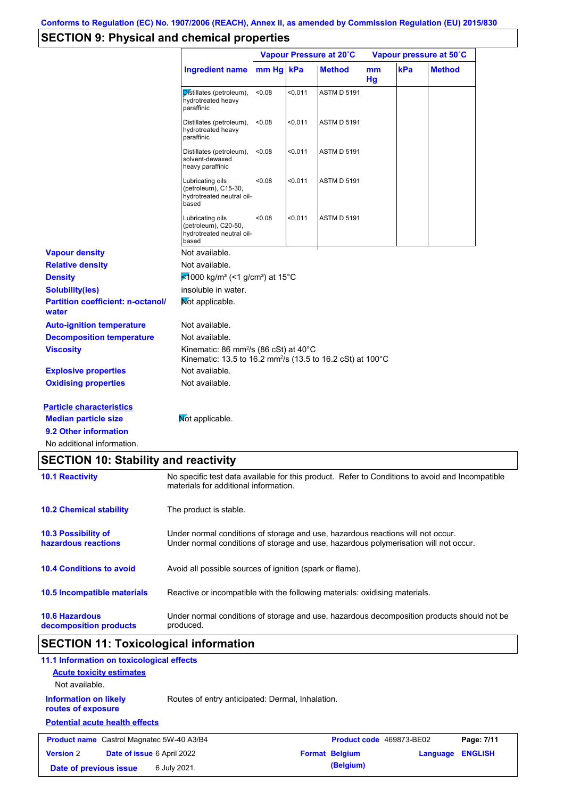# **SECTION 9: Physical and chemical properties**

|                                                   |                                                                                                                                        | Vapour Pressure at 20°C |         |                    | Vapour pressure at 50°C |     |               |
|---------------------------------------------------|----------------------------------------------------------------------------------------------------------------------------------------|-------------------------|---------|--------------------|-------------------------|-----|---------------|
|                                                   | <b>Ingredient name</b>                                                                                                                 | mm Hg kPa               |         | <b>Method</b>      | m <sub>m</sub><br>Hg    | kPa | <b>Method</b> |
|                                                   | Distillates (petroleum),<br>hydrotreated heavy<br>paraffinic                                                                           | < 0.08                  | < 0.011 | <b>ASTM D 5191</b> |                         |     |               |
|                                                   | Distillates (petroleum),<br>hydrotreated heavy<br>paraffinic                                                                           | < 0.08                  | < 0.011 | <b>ASTM D 5191</b> |                         |     |               |
|                                                   | Distillates (petroleum),<br>solvent-dewaxed<br>heavy paraffinic                                                                        | < 0.08                  | < 0.011 | <b>ASTM D 5191</b> |                         |     |               |
|                                                   | Lubricating oils<br>(petroleum), C15-30,<br>hydrotreated neutral oil-<br>based                                                         | < 0.08                  | < 0.011 | <b>ASTM D 5191</b> |                         |     |               |
|                                                   | Lubricating oils<br>(petroleum), C20-50,<br>hydrotreated neutral oil-<br>based                                                         | < 0.08                  | < 0.011 | <b>ASTM D 5191</b> |                         |     |               |
| <b>Vapour density</b>                             | Not available.                                                                                                                         |                         |         |                    |                         |     |               |
| <b>Relative density</b>                           | Not available.                                                                                                                         |                         |         |                    |                         |     |               |
| <b>Density</b>                                    | <del></del> <del>≰</del> 1000 kg/m <sup>3</sup> (<1 g/cm <sup>3</sup> ) at 15°C                                                        |                         |         |                    |                         |     |               |
| <b>Solubility(ies)</b>                            | insoluble in water.                                                                                                                    |                         |         |                    |                         |     |               |
| <b>Partition coefficient: n-octanol/</b><br>water | Not applicable.                                                                                                                        |                         |         |                    |                         |     |               |
| <b>Auto-ignition temperature</b>                  | Not available.                                                                                                                         |                         |         |                    |                         |     |               |
| <b>Decomposition temperature</b>                  | Not available.                                                                                                                         |                         |         |                    |                         |     |               |
| <b>Viscosity</b>                                  | Kinematic: 86 mm <sup>2</sup> /s (86 cSt) at $40^{\circ}$ C<br>Kinematic: 13.5 to 16.2 mm <sup>2</sup> /s (13.5 to 16.2 cSt) at 100 °C |                         |         |                    |                         |     |               |
| <b>Explosive properties</b>                       | Not available.                                                                                                                         |                         |         |                    |                         |     |               |
| <b>Oxidising properties</b>                       | Not available.                                                                                                                         |                         |         |                    |                         |     |               |
| <b>Particle characteristics</b>                   |                                                                                                                                        |                         |         |                    |                         |     |               |
| <b>Median particle size</b>                       | Not applicable.                                                                                                                        |                         |         |                    |                         |     |               |
| 9.2 Other information                             |                                                                                                                                        |                         |         |                    |                         |     |               |
| No additional information.                        |                                                                                                                                        |                         |         |                    |                         |     |               |

# **SECTION 10: Stability and reactivity**

| <b>10.1 Reactivity</b>                            | No specific test data available for this product. Refer to Conditions to avoid and Incompatible<br>materials for additional information.                                |
|---------------------------------------------------|-------------------------------------------------------------------------------------------------------------------------------------------------------------------------|
| <b>10.2 Chemical stability</b>                    | The product is stable.                                                                                                                                                  |
| <b>10.3 Possibility of</b><br>hazardous reactions | Under normal conditions of storage and use, hazardous reactions will not occur.<br>Under normal conditions of storage and use, hazardous polymerisation will not occur. |
| <b>10.4 Conditions to avoid</b>                   | Avoid all possible sources of ignition (spark or flame).                                                                                                                |
| <b>10.5 Incompatible materials</b>                | Reactive or incompatible with the following materials: oxidising materials.                                                                                             |
| <b>10.6 Hazardous</b><br>decomposition products   | Under normal conditions of storage and use, hazardous decomposition products should not be<br>produced.                                                                 |

# **SECTION 11: Toxicological information**

| 11.1 Information on toxicological effects          |                                                  |                       |           |                          |                |
|----------------------------------------------------|--------------------------------------------------|-----------------------|-----------|--------------------------|----------------|
| <b>Acute toxicity estimates</b>                    |                                                  |                       |           |                          |                |
| Not available.                                     |                                                  |                       |           |                          |                |
| <b>Information on likely</b><br>routes of exposure | Routes of entry anticipated: Dermal, Inhalation. |                       |           |                          |                |
| <b>Potential acute health effects</b>              |                                                  |                       |           |                          |                |
| <b>Product name</b> Castrol Magnatec 5W-40 A3/B4   |                                                  |                       |           | Product code 469873-BE02 | Page: 7/11     |
| <b>Version 2</b><br>Date of issue 6 April 2022     |                                                  | <b>Format Belgium</b> |           | Language                 | <b>ENGLISH</b> |
| Date of previous issue                             | 6 July 2021.                                     |                       | (Belgium) |                          |                |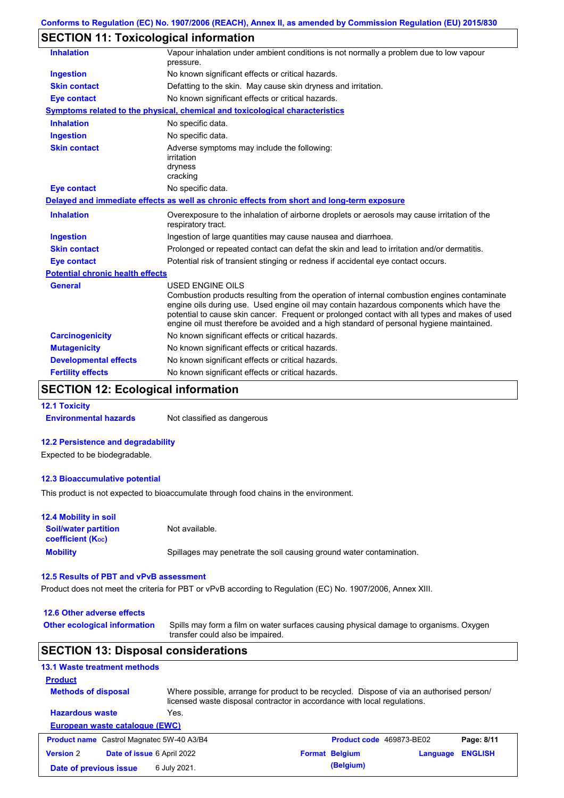## **SECTION 11: Toxicological information**

| <b>Inhalation</b>                       | Vapour inhalation under ambient conditions is not normally a problem due to low vapour<br>pressure.                                                                                                                                                                                                                                                                                                             |
|-----------------------------------------|-----------------------------------------------------------------------------------------------------------------------------------------------------------------------------------------------------------------------------------------------------------------------------------------------------------------------------------------------------------------------------------------------------------------|
| <b>Ingestion</b>                        | No known significant effects or critical hazards.                                                                                                                                                                                                                                                                                                                                                               |
| <b>Skin contact</b>                     | Defatting to the skin. May cause skin dryness and irritation.                                                                                                                                                                                                                                                                                                                                                   |
| <b>Eye contact</b>                      | No known significant effects or critical hazards.                                                                                                                                                                                                                                                                                                                                                               |
|                                         | <b>Symptoms related to the physical, chemical and toxicological characteristics</b>                                                                                                                                                                                                                                                                                                                             |
| <b>Inhalation</b>                       | No specific data.                                                                                                                                                                                                                                                                                                                                                                                               |
| <b>Ingestion</b>                        | No specific data.                                                                                                                                                                                                                                                                                                                                                                                               |
| <b>Skin contact</b>                     | Adverse symptoms may include the following:<br>irritation<br>dryness<br>cracking                                                                                                                                                                                                                                                                                                                                |
| <b>Eye contact</b>                      | No specific data.                                                                                                                                                                                                                                                                                                                                                                                               |
|                                         | Delayed and immediate effects as well as chronic effects from short and long-term exposure                                                                                                                                                                                                                                                                                                                      |
| <b>Inhalation</b>                       | Overexposure to the inhalation of airborne droplets or aerosols may cause irritation of the<br>respiratory tract.                                                                                                                                                                                                                                                                                               |
| <b>Ingestion</b>                        | Ingestion of large quantities may cause nausea and diarrhoea.                                                                                                                                                                                                                                                                                                                                                   |
| <b>Skin contact</b>                     | Prolonged or repeated contact can defat the skin and lead to irritation and/or dermatitis.                                                                                                                                                                                                                                                                                                                      |
| <b>Eye contact</b>                      | Potential risk of transient stinging or redness if accidental eye contact occurs.                                                                                                                                                                                                                                                                                                                               |
| <b>Potential chronic health effects</b> |                                                                                                                                                                                                                                                                                                                                                                                                                 |
| <b>General</b>                          | <b>USED ENGINE OILS</b><br>Combustion products resulting from the operation of internal combustion engines contaminate<br>engine oils during use. Used engine oil may contain hazardous components which have the<br>potential to cause skin cancer. Frequent or prolonged contact with all types and makes of used<br>engine oil must therefore be avoided and a high standard of personal hygiene maintained. |
| <b>Carcinogenicity</b>                  | No known significant effects or critical hazards.                                                                                                                                                                                                                                                                                                                                                               |
| <b>Mutagenicity</b>                     | No known significant effects or critical hazards.                                                                                                                                                                                                                                                                                                                                                               |
| <b>Developmental effects</b>            | No known significant effects or critical hazards.                                                                                                                                                                                                                                                                                                                                                               |
| <b>Fertility effects</b>                | No known significant effects or critical hazards.                                                                                                                                                                                                                                                                                                                                                               |
|                                         |                                                                                                                                                                                                                                                                                                                                                                                                                 |

## **SECTION 12: Ecological information**

**12.1 Toxicity**

**Environmental hazards** Not classified as dangerous

### **12.2 Persistence and degradability**

Expected to be biodegradable.

### **12.3 Bioaccumulative potential**

This product is not expected to bioaccumulate through food chains in the environment.

| <b>12.4 Mobility in soil</b>                            |                                                                      |
|---------------------------------------------------------|----------------------------------------------------------------------|
| <b>Soil/water partition</b><br><b>coefficient (Koc)</b> | Not available.                                                       |
| <b>Mobility</b>                                         | Spillages may penetrate the soil causing ground water contamination. |

### **12.5 Results of PBT and vPvB assessment**

Product does not meet the criteria for PBT or vPvB according to Regulation (EC) No. 1907/2006, Annex XIII.

**12.6 Other adverse effects**

**Other ecological information**

Spills may form a film on water surfaces causing physical damage to organisms. Oxygen transfer could also be impaired.

# **SECTION 13: Disposal considerations**

| <b>13.1 Waste treatment methods</b>                                                                                                                                                                                                  |                            |  |                                 |          |                |  |
|--------------------------------------------------------------------------------------------------------------------------------------------------------------------------------------------------------------------------------------|----------------------------|--|---------------------------------|----------|----------------|--|
| <b>Product</b>                                                                                                                                                                                                                       |                            |  |                                 |          |                |  |
| <b>Methods of disposal</b><br>Where possible, arrange for product to be recycled. Dispose of via an authorised person/<br>licensed waste disposal contractor in accordance with local regulations.<br><b>Hazardous waste</b><br>Yes. |                            |  |                                 |          |                |  |
|                                                                                                                                                                                                                                      |                            |  |                                 |          |                |  |
| European waste catalogue (EWC)                                                                                                                                                                                                       |                            |  |                                 |          |                |  |
| <b>Product name</b> Castrol Magnatec 5W-40 A3/B4                                                                                                                                                                                     |                            |  | <b>Product code</b> 469873-BE02 |          | Page: 8/11     |  |
| <b>Version 2</b>                                                                                                                                                                                                                     | Date of issue 6 April 2022 |  | <b>Format Belgium</b>           | Language | <b>ENGLISH</b> |  |
| Date of previous issue                                                                                                                                                                                                               | 6 July 2021.               |  | (Belgium)                       |          |                |  |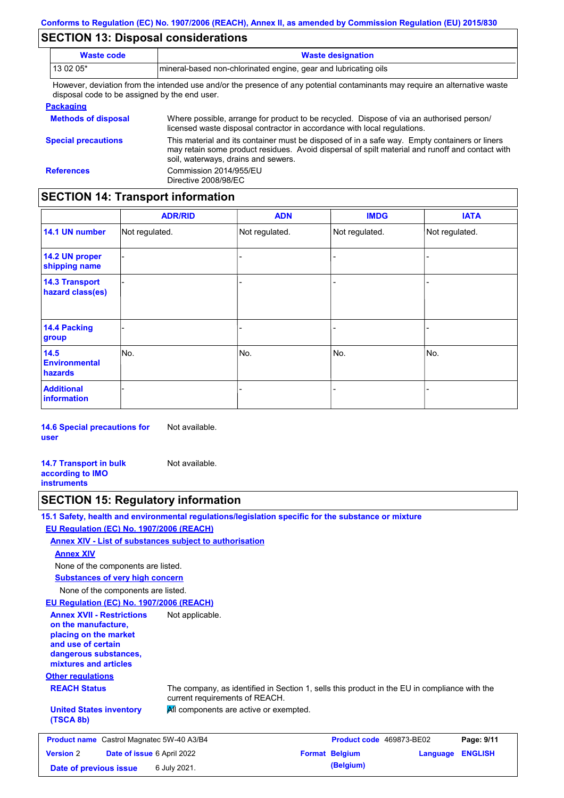## **SECTION 13: Disposal considerations**

| <b>Waste code</b><br><b>Waste designation</b> |                                                                                                                                                                                                                                      |  |  |  |
|-----------------------------------------------|--------------------------------------------------------------------------------------------------------------------------------------------------------------------------------------------------------------------------------------|--|--|--|
| 13 02 05*                                     | mineral-based non-chlorinated engine, gear and lubricating oils                                                                                                                                                                      |  |  |  |
| disposal code to be assigned by the end user. | However, deviation from the intended use and/or the presence of any potential contaminants may require an alternative waste                                                                                                          |  |  |  |
| <b>Packaging</b>                              |                                                                                                                                                                                                                                      |  |  |  |
| <b>Methods of disposal</b>                    | Where possible, arrange for product to be recycled. Dispose of via an authorised person/<br>licensed waste disposal contractor in accordance with local regulations.                                                                 |  |  |  |
| <b>Special precautions</b>                    | This material and its container must be disposed of in a safe way. Empty containers or liners<br>may retain some product residues. Avoid dispersal of spilt material and runoff and contact with<br>coil waterways drains and cowers |  |  |  |

soil, waterways, drains and sewers. **References** Commission 2014/955/EU Directive 2008/98/EC

## **SECTION 14: Transport information**

|                                           | <b>ADR/RID</b> | <b>ADN</b>     | <b>IMDG</b>    | <b>IATA</b>    |
|-------------------------------------------|----------------|----------------|----------------|----------------|
| 14.1 UN number                            | Not regulated. | Not regulated. | Not regulated. | Not regulated. |
| 14.2 UN proper<br>shipping name           |                |                |                |                |
| <b>14.3 Transport</b><br>hazard class(es) |                |                | -              |                |
| 14.4 Packing<br>group                     |                |                | $\overline{a}$ |                |
| 14.5<br><b>Environmental</b><br>hazards   | No.            | No.            | No.            | No.            |
| <b>Additional</b><br>information          |                |                | $\overline{a}$ |                |

**14.6 Special precautions for user** Not available.

**14.7 Transport in bulk according to IMO instruments** Not available.

## **SECTION 15: Regulatory information**

|                                                                                                                                                          | 15.1 Safety, health and environmental regulations/legislation specific for the substance or mixture                            |                          |          |                |
|----------------------------------------------------------------------------------------------------------------------------------------------------------|--------------------------------------------------------------------------------------------------------------------------------|--------------------------|----------|----------------|
| EU Regulation (EC) No. 1907/2006 (REACH)                                                                                                                 |                                                                                                                                |                          |          |                |
|                                                                                                                                                          | <b>Annex XIV - List of substances subject to authorisation</b>                                                                 |                          |          |                |
| <b>Annex XIV</b>                                                                                                                                         |                                                                                                                                |                          |          |                |
| None of the components are listed.                                                                                                                       |                                                                                                                                |                          |          |                |
| <b>Substances of very high concern</b>                                                                                                                   |                                                                                                                                |                          |          |                |
| None of the components are listed.                                                                                                                       |                                                                                                                                |                          |          |                |
| EU Regulation (EC) No. 1907/2006 (REACH)                                                                                                                 |                                                                                                                                |                          |          |                |
| <b>Annex XVII - Restrictions</b><br>on the manufacture,<br>placing on the market<br>and use of certain<br>dangerous substances,<br>mixtures and articles | Not applicable.                                                                                                                |                          |          |                |
| <b>Other regulations</b>                                                                                                                                 |                                                                                                                                |                          |          |                |
| <b>REACH Status</b>                                                                                                                                      | The company, as identified in Section 1, sells this product in the EU in compliance with the<br>current requirements of REACH. |                          |          |                |
| <b>United States inventory</b><br>(TSCA 8b)                                                                                                              | All components are active or exempted.                                                                                         |                          |          |                |
| <b>Product name</b> Castrol Magnatec 5W-40 A3/B4                                                                                                         |                                                                                                                                | Product code 469873-BE02 |          | Page: 9/11     |
| <b>Version 2</b><br>Date of issue 6 April 2022                                                                                                           |                                                                                                                                | <b>Format Belgium</b>    | Language | <b>ENGLISH</b> |
| Date of previous issue                                                                                                                                   | 6 July 2021.                                                                                                                   | (Belgium)                |          |                |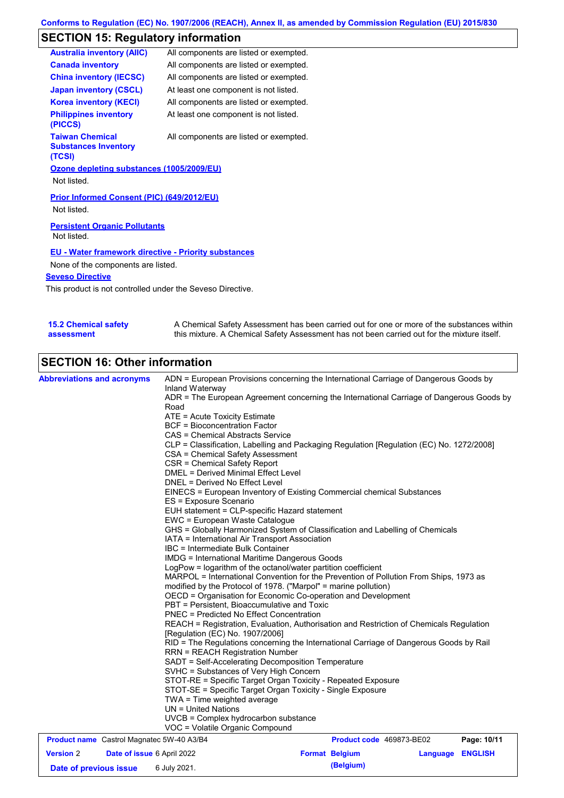# **SECTION 15: Regulatory information**

| <b>Australia inventory (AIIC)</b>                               | All components are listed or exempted. |
|-----------------------------------------------------------------|----------------------------------------|
| <b>Canada inventory</b>                                         | All components are listed or exempted. |
| <b>China inventory (IECSC)</b>                                  | All components are listed or exempted. |
| <b>Japan inventory (CSCL)</b>                                   | At least one component is not listed.  |
| <b>Korea inventory (KECI)</b>                                   | All components are listed or exempted. |
| <b>Philippines inventory</b><br>(PICCS)                         | At least one component is not listed.  |
| <b>Taiwan Chemical</b><br><b>Substances Inventory</b><br>(TCSI) | All components are listed or exempted. |
| Ozone depleting substances (1005/2009/EU)                       |                                        |
| Not listed.                                                     |                                        |
| Prior Informed Consent (PIC) (649/2012/EU)<br>Not listed.       |                                        |
| <b>Persistent Organic Pollutants</b><br>Not listed.             |                                        |

**EU - Water framework directive - Priority substances**

None of the components are listed.

**Seveso Directive**

This product is not controlled under the Seveso Directive.

| <b>15.2 Chemical safety</b> | A Chemical Safety Assessment has been carried out for one or more of the substances within  |
|-----------------------------|---------------------------------------------------------------------------------------------|
| assessment                  | this mixture. A Chemical Safety Assessment has not been carried out for the mixture itself. |

# **SECTION 16: Other information**

| <b>Abbreviations and acronyms</b>                                        | ADN = European Provisions concerning the International Carriage of Dangerous Goods by<br>Inland Waterway<br>ADR = The European Agreement concerning the International Carriage of Dangerous Goods by<br>Road<br>ATE = Acute Toxicity Estimate<br><b>BCF</b> = Bioconcentration Factor<br><b>CAS = Chemical Abstracts Service</b><br>CLP = Classification, Labelling and Packaging Regulation [Regulation (EC) No. 1272/2008]                                                                                                                                                                                                                                                                                                                                                                                                                                                                                                                                                                                                                                                                                                                                                                                                                                                                                                                                                                              |                                    |                  |             |  |  |
|--------------------------------------------------------------------------|-----------------------------------------------------------------------------------------------------------------------------------------------------------------------------------------------------------------------------------------------------------------------------------------------------------------------------------------------------------------------------------------------------------------------------------------------------------------------------------------------------------------------------------------------------------------------------------------------------------------------------------------------------------------------------------------------------------------------------------------------------------------------------------------------------------------------------------------------------------------------------------------------------------------------------------------------------------------------------------------------------------------------------------------------------------------------------------------------------------------------------------------------------------------------------------------------------------------------------------------------------------------------------------------------------------------------------------------------------------------------------------------------------------|------------------------------------|------------------|-------------|--|--|
|                                                                          | CSA = Chemical Safety Assessment<br>CSR = Chemical Safety Report<br><b>DMEL = Derived Minimal Effect Level</b><br>DNEL = Derived No Effect Level<br>EINECS = European Inventory of Existing Commercial chemical Substances<br>ES = Exposure Scenario<br>EUH statement = CLP-specific Hazard statement<br>EWC = European Waste Catalogue<br>GHS = Globally Harmonized System of Classification and Labelling of Chemicals<br>IATA = International Air Transport Association<br>IBC = Intermediate Bulk Container<br><b>IMDG</b> = International Maritime Dangerous Goods<br>LogPow = logarithm of the octanol/water partition coefficient<br>MARPOL = International Convention for the Prevention of Pollution From Ships, 1973 as<br>modified by the Protocol of 1978. ("Marpol" = marine pollution)<br>OECD = Organisation for Economic Co-operation and Development<br>PBT = Persistent, Bioaccumulative and Toxic<br><b>PNEC</b> = Predicted No Effect Concentration<br>REACH = Registration, Evaluation, Authorisation and Restriction of Chemicals Regulation<br>[Regulation (EC) No. 1907/2006]<br>RID = The Regulations concerning the International Carriage of Dangerous Goods by Rail<br><b>RRN = REACH Registration Number</b><br>SADT = Self-Accelerating Decomposition Temperature<br>SVHC = Substances of Very High Concern<br>STOT-RE = Specific Target Organ Toxicity - Repeated Exposure |                                    |                  |             |  |  |
|                                                                          |                                                                                                                                                                                                                                                                                                                                                                                                                                                                                                                                                                                                                                                                                                                                                                                                                                                                                                                                                                                                                                                                                                                                                                                                                                                                                                                                                                                                           |                                    |                  |             |  |  |
|                                                                          |                                                                                                                                                                                                                                                                                                                                                                                                                                                                                                                                                                                                                                                                                                                                                                                                                                                                                                                                                                                                                                                                                                                                                                                                                                                                                                                                                                                                           |                                    |                  |             |  |  |
|                                                                          |                                                                                                                                                                                                                                                                                                                                                                                                                                                                                                                                                                                                                                                                                                                                                                                                                                                                                                                                                                                                                                                                                                                                                                                                                                                                                                                                                                                                           |                                    |                  |             |  |  |
|                                                                          |                                                                                                                                                                                                                                                                                                                                                                                                                                                                                                                                                                                                                                                                                                                                                                                                                                                                                                                                                                                                                                                                                                                                                                                                                                                                                                                                                                                                           |                                    |                  |             |  |  |
|                                                                          |                                                                                                                                                                                                                                                                                                                                                                                                                                                                                                                                                                                                                                                                                                                                                                                                                                                                                                                                                                                                                                                                                                                                                                                                                                                                                                                                                                                                           |                                    |                  |             |  |  |
|                                                                          | STOT-SE = Specific Target Organ Toxicity - Single Exposure<br>$TWA = Time weighted average$<br>$UN = United Nations$<br>UVCB = Complex hydrocarbon substance<br>VOC = Volatile Organic Compound                                                                                                                                                                                                                                                                                                                                                                                                                                                                                                                                                                                                                                                                                                                                                                                                                                                                                                                                                                                                                                                                                                                                                                                                           |                                    |                  |             |  |  |
| <b>Product name</b> Castrol Magnatec 5W-40 A3/B4                         |                                                                                                                                                                                                                                                                                                                                                                                                                                                                                                                                                                                                                                                                                                                                                                                                                                                                                                                                                                                                                                                                                                                                                                                                                                                                                                                                                                                                           | Product code 469873-BE02           |                  | Page: 10/11 |  |  |
| <b>Version 2</b><br>Date of issue 6 April 2022<br>Date of previous issue | 6 July 2021.                                                                                                                                                                                                                                                                                                                                                                                                                                                                                                                                                                                                                                                                                                                                                                                                                                                                                                                                                                                                                                                                                                                                                                                                                                                                                                                                                                                              | <b>Format Belgium</b><br>(Belgium) | Language ENGLISH |             |  |  |